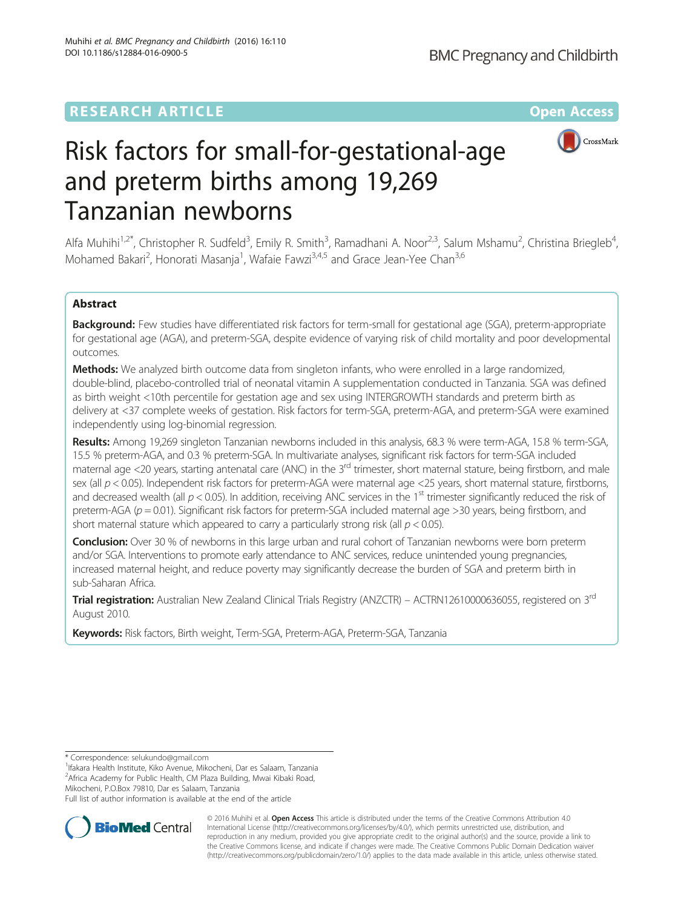# **RESEARCH ARTICLE Example 2014 12:30 The Contract of Contract ACCESS**



# Risk factors for small-for-gestational-age and preterm births among 19,269 Tanzanian newborns

Alfa Muhihi<sup>1,2\*</sup>, Christopher R. Sudfeld<sup>3</sup>, Emily R. Smith<sup>3</sup>, Ramadhani A. Noor<sup>2,3</sup>, Salum Mshamu<sup>2</sup>, Christina Briegleb<sup>4</sup> , Mohamed Bakari<sup>2</sup>, Honorati Masanja<sup>1</sup>, Wafaie Fawzi<sup>3,4,5</sup> and Grace Jean-Yee Chan<sup>3,6</sup>

# Abstract

Background: Few studies have differentiated risk factors for term-small for gestational age (SGA), preterm-appropriate for gestational age (AGA), and preterm-SGA, despite evidence of varying risk of child mortality and poor developmental outcomes.

Methods: We analyzed birth outcome data from singleton infants, who were enrolled in a large randomized, double-blind, placebo-controlled trial of neonatal vitamin A supplementation conducted in Tanzania. SGA was defined as birth weight <10th percentile for gestation age and sex using INTERGROWTH standards and preterm birth as delivery at <37 complete weeks of gestation. Risk factors for term-SGA, preterm-AGA, and preterm-SGA were examined independently using log-binomial regression.

Results: Among 19,269 singleton Tanzanian newborns included in this analysis, 68.3 % were term-AGA, 15.8 % term-SGA, 15.5 % preterm-AGA, and 0.3 % preterm-SGA. In multivariate analyses, significant risk factors for term-SGA included maternal age <20 years, starting antenatal care (ANC) in the  $3^{rd}$  trimester, short maternal stature, being firstborn, and male sex (all  $p$  < 0.05). Independent risk factors for preterm-AGA were maternal age <25 years, short maternal stature, firstborns, and decreased wealth (all  $p < 0.05$ ). In addition, receiving ANC services in the 1<sup>st</sup> trimester significantly reduced the risk of preterm-AGA ( $p = 0.01$ ). Significant risk factors for preterm-SGA included maternal age >30 years, being firstborn, and short maternal stature which appeared to carry a particularly strong risk (all  $p < 0.05$ ).

Conclusion: Over 30 % of newborns in this large urban and rural cohort of Tanzanian newborns were born preterm and/or SGA. Interventions to promote early attendance to ANC services, reduce unintended young pregnancies, increased maternal height, and reduce poverty may significantly decrease the burden of SGA and preterm birth in sub-Saharan Africa.

Trial registration: Australian New Zealand Clinical Trials Registry (ANZCTR) – [ACTRN12610000636055,](https://www.anzctr.org.au/Trial/Registration/TrialReview.aspx?ACTRN=12610000636055) registered on 3<sup>rd</sup> August 2010.

Keywords: Risk factors, Birth weight, Term-SGA, Preterm-AGA, Preterm-SGA, Tanzania

\* Correspondence: [selukundo@gmail.com](mailto:selukundo@gmail.com) <sup>1</sup>

<sup>1</sup> Ifakara Health Institute, Kiko Avenue, Mikocheni, Dar es Salaam, Tanzania <sup>2</sup> Africa Academy for Public Health, CM Plaza Building, Mwai Kibaki Road, Mikocheni, P.O.Box 79810, Dar es Salaam, Tanzania

Full list of author information is available at the end of the article



© 2016 Muhihi et al. Open Access This article is distributed under the terms of the Creative Commons Attribution 4.0 International License [\(http://creativecommons.org/licenses/by/4.0/](http://creativecommons.org/licenses/by/4.0/)), which permits unrestricted use, distribution, and reproduction in any medium, provided you give appropriate credit to the original author(s) and the source, provide a link to the Creative Commons license, and indicate if changes were made. The Creative Commons Public Domain Dedication waiver [\(http://creativecommons.org/publicdomain/zero/1.0/](http://creativecommons.org/publicdomain/zero/1.0/)) applies to the data made available in this article, unless otherwise stated.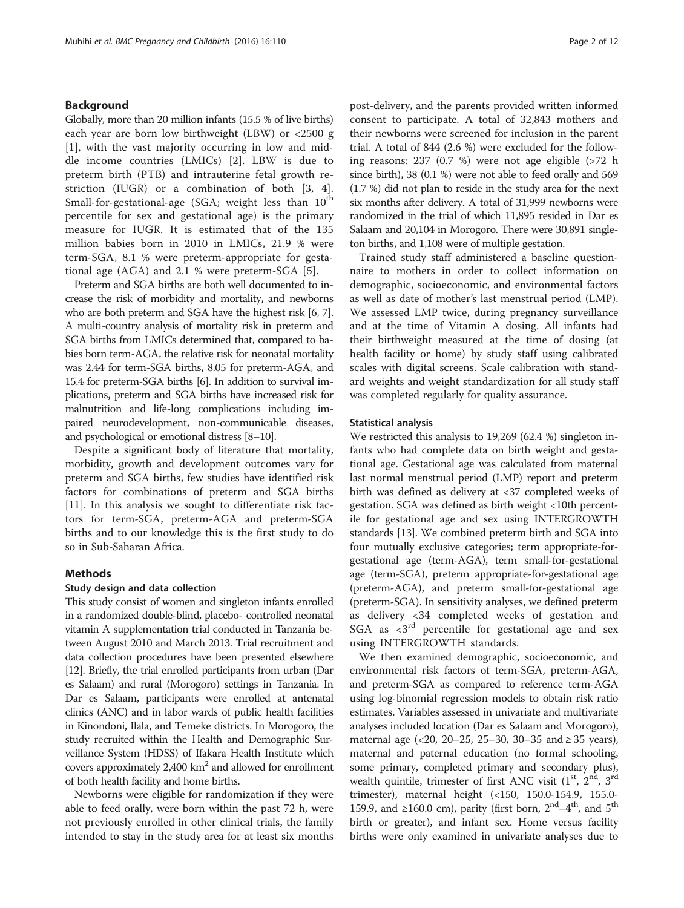# Background

Globally, more than 20 million infants (15.5 % of live births) each year are born low birthweight (LBW) or <2500 g [[1\]](#page-10-0), with the vast majority occurring in low and middle income countries (LMICs) [[2\]](#page-10-0). LBW is due to preterm birth (PTB) and intrauterine fetal growth restriction (IUGR) or a combination of both [\[3](#page-10-0), [4](#page-10-0)]. Small-for-gestational-age (SGA; weight less than  $10^{th}$ percentile for sex and gestational age) is the primary measure for IUGR. It is estimated that of the 135 million babies born in 2010 in LMICs, 21.9 % were term-SGA, 8.1 % were preterm-appropriate for gestational age (AGA) and 2.1 % were preterm-SGA [\[5](#page-10-0)].

Preterm and SGA births are both well documented to increase the risk of morbidity and mortality, and newborns who are both preterm and SGA have the highest risk [\[6, 7](#page-10-0)]. A multi-country analysis of mortality risk in preterm and SGA births from LMICs determined that, compared to babies born term-AGA, the relative risk for neonatal mortality was 2.44 for term-SGA births, 8.05 for preterm-AGA, and 15.4 for preterm-SGA births [\[6\]](#page-10-0). In addition to survival implications, preterm and SGA births have increased risk for malnutrition and life-long complications including impaired neurodevelopment, non-communicable diseases, and psychological or emotional distress [\[8](#page-10-0)–[10\]](#page-10-0).

Despite a significant body of literature that mortality, morbidity, growth and development outcomes vary for preterm and SGA births, few studies have identified risk factors for combinations of preterm and SGA births [[11\]](#page-10-0). In this analysis we sought to differentiate risk factors for term-SGA, preterm-AGA and preterm-SGA births and to our knowledge this is the first study to do so in Sub-Saharan Africa.

# Methods

# Study design and data collection

This study consist of women and singleton infants enrolled in a randomized double-blind, placebo- controlled neonatal vitamin A supplementation trial conducted in Tanzania between August 2010 and March 2013. Trial recruitment and data collection procedures have been presented elsewhere [[12](#page-10-0)]. Briefly, the trial enrolled participants from urban (Dar es Salaam) and rural (Morogoro) settings in Tanzania. In Dar es Salaam, participants were enrolled at antenatal clinics (ANC) and in labor wards of public health facilities in Kinondoni, Ilala, and Temeke districts. In Morogoro, the study recruited within the Health and Demographic Surveillance System (HDSS) of Ifakara Health Institute which covers approximately  $2,400 \text{ km}^2$  and allowed for enrollment of both health facility and home births.

Newborns were eligible for randomization if they were able to feed orally, were born within the past 72 h, were not previously enrolled in other clinical trials, the family intended to stay in the study area for at least six months post-delivery, and the parents provided written informed consent to participate. A total of 32,843 mothers and their newborns were screened for inclusion in the parent trial. A total of 844 (2.6 %) were excluded for the following reasons: 237 (0.7 %) were not age eligible (>72 h since birth), 38 (0.1 %) were not able to feed orally and 569 (1.7 %) did not plan to reside in the study area for the next six months after delivery. A total of 31,999 newborns were randomized in the trial of which 11,895 resided in Dar es Salaam and 20,104 in Morogoro. There were 30,891 singleton births, and 1,108 were of multiple gestation.

Trained study staff administered a baseline questionnaire to mothers in order to collect information on demographic, socioeconomic, and environmental factors as well as date of mother's last menstrual period (LMP). We assessed LMP twice, during pregnancy surveillance and at the time of Vitamin A dosing. All infants had their birthweight measured at the time of dosing (at health facility or home) by study staff using calibrated scales with digital screens. Scale calibration with standard weights and weight standardization for all study staff was completed regularly for quality assurance.

## Statistical analysis

We restricted this analysis to 19,269 (62.4 %) singleton infants who had complete data on birth weight and gestational age. Gestational age was calculated from maternal last normal menstrual period (LMP) report and preterm birth was defined as delivery at <37 completed weeks of gestation. SGA was defined as birth weight <10th percentile for gestational age and sex using INTERGROWTH standards [[13\]](#page-10-0). We combined preterm birth and SGA into four mutually exclusive categories; term appropriate-forgestational age (term-AGA), term small-for-gestational age (term-SGA), preterm appropriate-for-gestational age (preterm-AGA), and preterm small-for-gestational age (preterm-SGA). In sensitivity analyses, we defined preterm as delivery <34 completed weeks of gestation and SGA as  $\langle 3^{rd}$  percentile for gestational age and sex using INTERGROWTH standards.

We then examined demographic, socioeconomic, and environmental risk factors of term-SGA, preterm-AGA, and preterm-SGA as compared to reference term-AGA using log-binomial regression models to obtain risk ratio estimates. Variables assessed in univariate and multivariate analyses included location (Dar es Salaam and Morogoro), maternal age  $($  < 20, 20−25, 25−30, 30−35 and ≥ 35 years), maternal and paternal education (no formal schooling, some primary, completed primary and secondary plus), wealth quintile, trimester of first ANC visit  $(1<sup>st</sup>, 2<sup>nd</sup>, 3<sup>rd</sup>)$ trimester), maternal height (<150, 150.0-154.9, 155.0- 159.9, and ≥160.0 cm), parity (first born,  $2<sup>nd</sup>–4<sup>th</sup>$ , and  $5<sup>th</sup>$ birth or greater), and infant sex. Home versus facility births were only examined in univariate analyses due to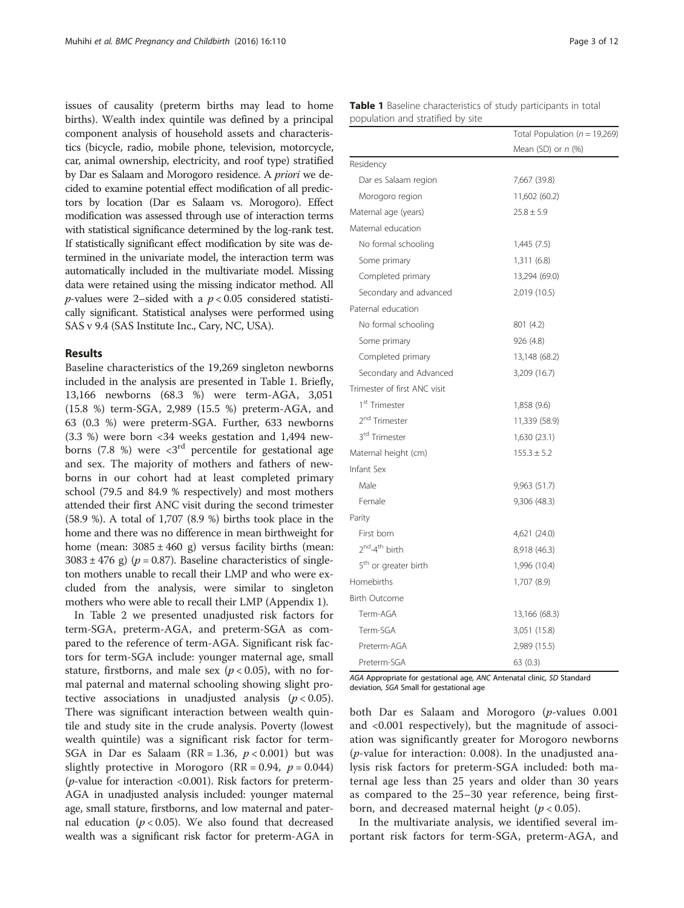issues of causality (preterm births may lead to home births). Wealth index quintile was defined by a principal component analysis of household assets and characteristics (bicycle, radio, mobile phone, television, motorcycle, car, animal ownership, electricity, and roof type) stratified by Dar es Salaam and Morogoro residence. A priori we decided to examine potential effect modification of all predictors by location (Dar es Salaam vs. Morogoro). Effect modification was assessed through use of interaction terms with statistical significance determined by the log-rank test. If statistically significant effect modification by site was determined in the univariate model, the interaction term was automatically included in the multivariate model. Missing data were retained using the missing indicator method. All *p*-values were 2–sided with a  $p < 0.05$  considered statistically significant. Statistical analyses were performed using SAS v 9.4 (SAS Institute Inc., Cary, NC, USA).

## Results

Baseline characteristics of the 19,269 singleton newborns included in the analysis are presented in Table 1. Briefly, 13,166 newborns (68.3 %) were term-AGA, 3,051 (15.8 %) term-SGA, 2,989 (15.5 %) preterm-AGA, and 63 (0.3 %) were preterm-SGA. Further, 633 newborns (3.3 %) were born <34 weeks gestation and 1,494 newborns (7.8 %) were  $\langle 3^{rd}$  percentile for gestational age and sex. The majority of mothers and fathers of newborns in our cohort had at least completed primary school (79.5 and 84.9 % respectively) and most mothers attended their first ANC visit during the second trimester (58.9 %). A total of 1,707 (8.9 %) births took place in the home and there was no difference in mean birthweight for home (mean:  $3085 \pm 460$  g) versus facility births (mean:  $3083 \pm 476$  g) ( $p = 0.87$ ). Baseline characteristics of singleton mothers unable to recall their LMP and who were excluded from the analysis, were similar to singleton mothers who were able to recall their LMP [\(Appendix 1\)](#page-7-0).

In Table [2](#page-3-0) we presented unadjusted risk factors for term-SGA, preterm-AGA, and preterm-SGA as compared to the reference of term-AGA. Significant risk factors for term-SGA include: younger maternal age, small stature, firstborns, and male sex ( $p < 0.05$ ), with no formal paternal and maternal schooling showing slight protective associations in unadjusted analysis ( $p < 0.05$ ). There was significant interaction between wealth quintile and study site in the crude analysis. Poverty (lowest wealth quintile) was a significant risk factor for term-SGA in Dar es Salaam ( $RR = 1.36$ ,  $p < 0.001$ ) but was slightly protective in Morogoro (RR = 0.94,  $p = 0.044$ ) ( $p$ -value for interaction <0.001). Risk factors for preterm-AGA in unadjusted analysis included: younger maternal age, small stature, firstborns, and low maternal and paternal education ( $p < 0.05$ ). We also found that decreased wealth was a significant risk factor for preterm-AGA in

|                                        | Total Population ( $n = 19,269$ ) |
|----------------------------------------|-----------------------------------|
|                                        | Mean (SD) or $n$ (%)              |
| Residency                              |                                   |
| Dar es Salaam region                   | 7,667 (39.8)                      |
| Morogoro region                        | 11,602 (60.2)                     |
| Maternal age (years)                   | $25.8 \pm 5.9$                    |
| Maternal education                     |                                   |
| No formal schooling                    | 1,445(7.5)                        |
| Some primary                           | 1,311(6.8)                        |
| Completed primary                      | 13,294 (69.0)                     |
| Secondary and advanced                 | 2,019 (10.5)                      |
| Paternal education                     |                                   |
| No formal schooling                    | 801 (4.2)                         |
| Some primary                           | 926 (4.8)                         |
| Completed primary                      | 13,148 (68.2)                     |
| Secondary and Advanced                 | 3,209 (16.7)                      |
| Trimester of first ANC visit           |                                   |
| 1 <sup>st</sup> Trimester              | 1,858 (9.6)                       |
| 2 <sup>nd</sup> Trimester              | 11,339 (58.9)                     |
| 3 <sup>rd</sup> Trimester              | 1,630 (23.1)                      |
| Maternal height (cm)                   | $155.3 \pm 5.2$                   |
| Infant Sex                             |                                   |
| Male                                   | 9,963 (51.7)                      |
| Female                                 | 9,306 (48.3)                      |
| Parity                                 |                                   |
| First born                             | 4,621 (24.0)                      |
| 2 <sup>nd</sup> -4 <sup>th</sup> birth | 8,918 (46.3)                      |
| 5 <sup>th</sup> or greater birth       | 1,996 (10.4)                      |
| Homebirths                             | 1,707 (8.9)                       |
| <b>Birth Outcome</b>                   |                                   |
| Term-AGA                               | 13,166 (68.3)                     |
| Term-SGA                               | 3,051 (15.8)                      |
| Preterm-AGA                            | 2,989 (15.5)                      |
| Preterm-SGA                            | 63(0.3)                           |

AGA Appropriate for gestational age, ANC Antenatal clinic, SD Standard deviation, SGA Small for gestational age

both Dar es Salaam and Morogoro (p-values 0.001 and <0.001 respectively), but the magnitude of association was significantly greater for Morogoro newborns (*p*-value for interaction: 0.008). In the unadjusted analysis risk factors for preterm-SGA included: both maternal age less than 25 years and older than 30 years as compared to the 25–30 year reference, being firstborn, and decreased maternal height ( $p < 0.05$ ).

In the multivariate analysis, we identified several important risk factors for term-SGA, preterm-AGA, and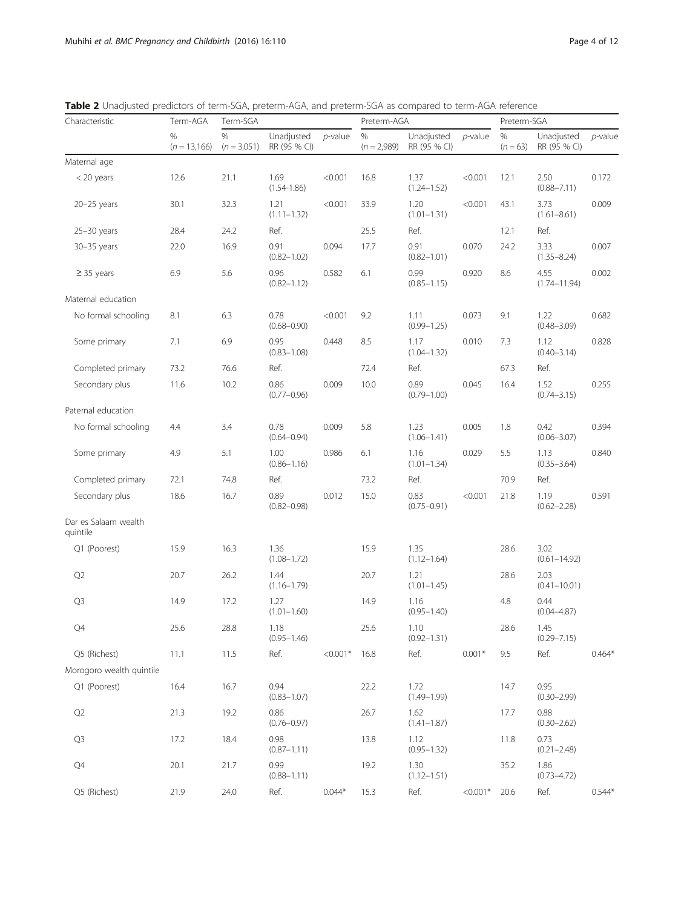| . The completence of the contract of the contract of the contract of the contract of the $\eta$ and<br>Characteristic | Term-AGA            | Term-SGA              |                            |            | Preterm-AGA           |                            |            | Preterm-SGA        |                            |            |
|-----------------------------------------------------------------------------------------------------------------------|---------------------|-----------------------|----------------------------|------------|-----------------------|----------------------------|------------|--------------------|----------------------------|------------|
|                                                                                                                       | %<br>$(n = 13,166)$ | $\%$<br>$(n = 3,051)$ | Unadjusted<br>RR (95 % CI) | $p$ -value | $\%$<br>$(n = 2,989)$ | Unadjusted<br>RR (95 % CI) | $p$ -value | $\%$<br>$(n = 63)$ | Unadjusted<br>RR (95 % CI) | $p$ -value |
| Maternal age                                                                                                          |                     |                       |                            |            |                       |                            |            |                    |                            |            |
| $<$ 20 years                                                                                                          | 12.6                | 21.1                  | 1.69<br>$(1.54 - 1.86)$    | < 0.001    | 16.8                  | 1.37<br>$(1.24 - 1.52)$    | < 0.001    | 12.1               | 2.50<br>$(0.88 - 7.11)$    | 0.172      |
| $20 - 25$ years                                                                                                       | 30.1                | 32.3                  | 1.21<br>$(1.11 - 1.32)$    | < 0.001    | 33.9                  | 1.20<br>$(1.01 - 1.31)$    | < 0.001    | 43.1               | 3.73<br>$(1.61 - 8.61)$    | 0.009      |
| $25 - 30$ years                                                                                                       | 28.4                | 24.2                  | Ref.                       |            | 25.5                  | Ref.                       |            | 12.1               | Ref.                       |            |
| $30-35$ years                                                                                                         | 22.0                | 16.9                  | 0.91<br>$(0.82 - 1.02)$    | 0.094      | 17.7                  | 0.91<br>$(0.82 - 1.01)$    | 0.070      | 24.2               | 3.33<br>$(1.35 - 8.24)$    | 0.007      |
| $\geq$ 35 years                                                                                                       | 6.9                 | 5.6                   | 0.96<br>$(0.82 - 1.12)$    | 0.582      | 6.1                   | 0.99<br>$(0.85 - 1.15)$    | 0.920      | 8.6                | 4.55<br>$(1.74 - 11.94)$   | 0.002      |
| Maternal education                                                                                                    |                     |                       |                            |            |                       |                            |            |                    |                            |            |
| No formal schooling                                                                                                   | 8.1                 | 6.3                   | 0.78<br>$(0.68 - 0.90)$    | < 0.001    | 9.2                   | 1.11<br>$(0.99 - 1.25)$    | 0.073      | 9.1                | 1.22<br>$(0.48 - 3.09)$    | 0.682      |
| Some primary                                                                                                          | 7.1                 | 6.9                   | 0.95<br>$(0.83 - 1.08)$    | 0.448      | 8.5                   | 1.17<br>$(1.04 - 1.32)$    | 0.010      | 7.3                | 1.12<br>$(0.40 - 3.14)$    | 0.828      |
| Completed primary                                                                                                     | 73.2                | 76.6                  | Ref.                       |            | 72.4                  | Ref.                       |            | 67.3               | Ref.                       |            |
| Secondary plus                                                                                                        | 11.6                | 10.2                  | 0.86<br>$(0.77 - 0.96)$    | 0.009      | 10.0                  | 0.89<br>$(0.79 - 1.00)$    | 0.045      | 16.4               | 1.52<br>$(0.74 - 3.15)$    | 0.255      |
| Paternal education                                                                                                    |                     |                       |                            |            |                       |                            |            |                    |                            |            |
| No formal schooling                                                                                                   | 4.4                 | 3.4                   | 0.78<br>$(0.64 - 0.94)$    | 0.009      | 5.8                   | 1.23<br>$(1.06 - 1.41)$    | 0.005      | 1.8                | 0.42<br>$(0.06 - 3.07)$    | 0.394      |
| Some primary                                                                                                          | 4.9                 | 5.1                   | 1.00<br>$(0.86 - 1.16)$    | 0.986      | 6.1                   | 1.16<br>$(1.01 - 1.34)$    | 0.029      | 5.5                | 1.13<br>$(0.35 - 3.64)$    | 0.840      |
| Completed primary                                                                                                     | 72.1                | 74.8                  | Ref.                       |            | 73.2                  | Ref.                       |            | 70.9               | Ref.                       |            |
| Secondary plus                                                                                                        | 18.6                | 16.7                  | 0.89<br>$(0.82 - 0.98)$    | 0.012      | 15.0                  | 0.83<br>$(0.75 - 0.91)$    | < 0.001    | 21.8               | 1.19<br>$(0.62 - 2.28)$    | 0.591      |
| Dar es Salaam wealth<br>quintile                                                                                      |                     |                       |                            |            |                       |                            |            |                    |                            |            |
| Q1 (Poorest)                                                                                                          | 15.9                | 16.3                  | 1.36<br>$(1.08 - 1.72)$    |            | 15.9                  | 1.35<br>$(1.12 - 1.64)$    |            | 28.6               | 3.02<br>$(0.61 - 14.92)$   |            |
| Q2                                                                                                                    | 20.7                | 26.2                  | 1.44<br>$(1.16 - 1.79)$    |            | 20.7                  | 1.21<br>$(1.01 - 1.45)$    |            | 28.6               | 2.03<br>$(0.41 - 10.01)$   |            |
| Q3                                                                                                                    | 14.9                | 17.2                  | 1.27<br>$(1.01 - 1.60)$    |            | 14.9                  | 1.16<br>$(0.95 - 1.40)$    |            | 4.8                | 0.44<br>$(0.04 - 4.87)$    |            |
| Q4                                                                                                                    | 25.6                | 28.8                  | 1.18<br>$(0.95 - 1.46)$    |            | 25.6                  | 1.10<br>$(0.92 - 1.31)$    |            | 28.6               | 1.45<br>$(0.29 - 7.15)$    |            |
| Q5 (Richest)                                                                                                          | 11.1                | 11.5                  | Ref.                       | $< 0.001*$ | 16.8                  | Ref.                       | $0.001*$   | 9.5                | Ref.                       | $0.464*$   |
| Morogoro wealth quintile                                                                                              |                     |                       |                            |            |                       |                            |            |                    |                            |            |
| Q1 (Poorest)                                                                                                          | 16.4                | 16.7                  | 0.94<br>$(0.83 - 1.07)$    |            | 22.2                  | 1.72<br>$(1.49 - 1.99)$    |            | 14.7               | 0.95<br>$(0.30 - 2.99)$    |            |
| Q2                                                                                                                    | 21.3                | 19.2                  | 0.86<br>$(0.76 - 0.97)$    |            | 26.7                  | 1.62<br>$(1.41 - 1.87)$    |            | 17.7               | 0.88<br>$(0.30 - 2.62)$    |            |
| Q3                                                                                                                    | 17.2                | 18.4                  | 0.98<br>$(0.87 - 1.11)$    |            | 13.8                  | 1.12<br>$(0.95 - 1.32)$    |            | 11.8               | 0.73<br>$(0.21 - 2.48)$    |            |
| Q4                                                                                                                    | 20.1                | 21.7                  | 0.99<br>$(0.88 - 1.11)$    |            | 19.2                  | 1.30<br>$(1.12 - 1.51)$    |            | 35.2               | 1.86<br>$(0.73 - 4.72)$    |            |
| Q5 (Richest)                                                                                                          | 21.9                | 24.0                  | Ref.                       | $0.044*$   | 15.3                  | Ref.                       | $< 0.001*$ | 20.6               | Ref.                       | $0.544*$   |

<span id="page-3-0"></span>Table 2 Unadjusted predictors of term-SGA, preterm-AGA, and preterm-SGA as compared to term-AGA reference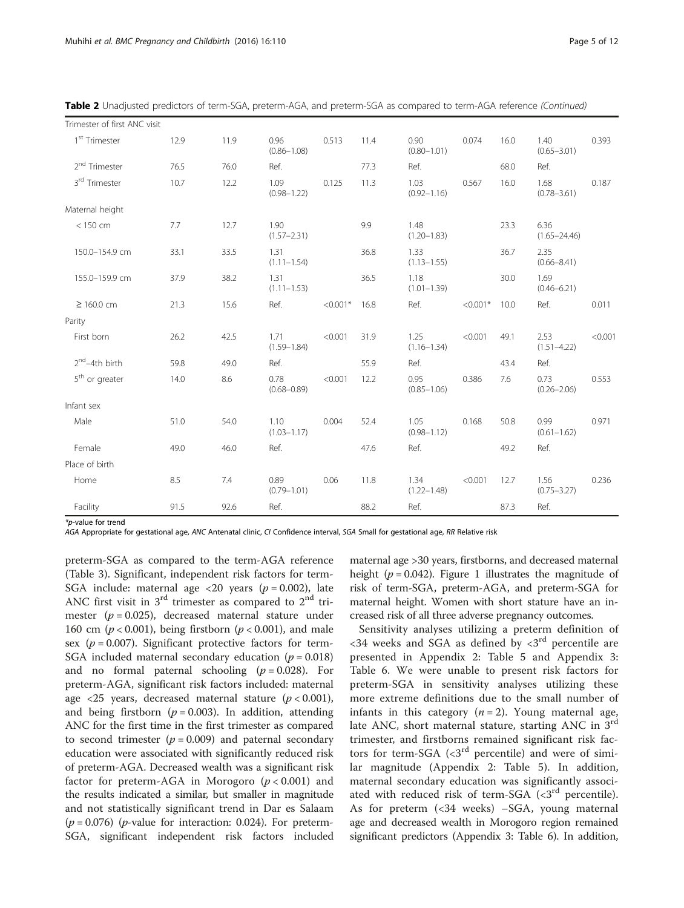| Trimester of first ANC visit |      |      |                         |            |      |                         |            |      |                          |         |
|------------------------------|------|------|-------------------------|------------|------|-------------------------|------------|------|--------------------------|---------|
| 1 <sup>st</sup> Trimester    | 12.9 | 11.9 | 0.96<br>$(0.86 - 1.08)$ | 0.513      | 11.4 | 0.90<br>$(0.80 - 1.01)$ | 0.074      | 16.0 | 1.40<br>$(0.65 - 3.01)$  | 0.393   |
| 2 <sup>nd</sup> Trimester    | 76.5 | 76.0 | Ref.                    |            | 77.3 | Ref.                    |            | 68.0 | Ref.                     |         |
| 3 <sup>rd</sup> Trimester    | 10.7 | 12.2 | 1.09<br>$(0.98 - 1.22)$ | 0.125      | 11.3 | 1.03<br>$(0.92 - 1.16)$ | 0.567      | 16.0 | 1.68<br>$(0.78 - 3.61)$  | 0.187   |
| Maternal height              |      |      |                         |            |      |                         |            |      |                          |         |
| $<$ 150 cm                   | 7.7  | 12.7 | 1.90<br>$(1.57 - 2.31)$ |            | 9.9  | 1.48<br>$(1.20 - 1.83)$ |            | 23.3 | 6.36<br>$(1.65 - 24.46)$ |         |
| 150.0-154.9 cm               | 33.1 | 33.5 | 1.31<br>$(1.11 - 1.54)$ |            | 36.8 | 1.33<br>$(1.13 - 1.55)$ |            | 36.7 | 2.35<br>$(0.66 - 8.41)$  |         |
| 155.0-159.9 cm               | 37.9 | 38.2 | 1.31<br>$(1.11 - 1.53)$ |            | 36.5 | 1.18<br>$(1.01 - 1.39)$ |            | 30.0 | 1.69<br>$(0.46 - 6.21)$  |         |
| $\geq$ 160.0 cm              | 21.3 | 15.6 | Ref.                    | $< 0.001*$ | 16.8 | Ref.                    | $< 0.001*$ | 10.0 | Ref.                     | 0.011   |
| Parity                       |      |      |                         |            |      |                         |            |      |                          |         |
| First born                   | 26.2 | 42.5 | 1.71<br>$(1.59 - 1.84)$ | < 0.001    | 31.9 | 1.25<br>$(1.16 - 1.34)$ | < 0.001    | 49.1 | 2.53<br>$(1.51 - 4.22)$  | < 0.001 |
| $2nd - 4th$ birth            | 59.8 | 49.0 | Ref.                    |            | 55.9 | Ref.                    |            | 43.4 | Ref.                     |         |
| 5 <sup>th</sup> or greater   | 14.0 | 8.6  | 0.78<br>$(0.68 - 0.89)$ | < 0.001    | 12.2 | 0.95<br>$(0.85 - 1.06)$ | 0.386      | 7.6  | 0.73<br>$(0.26 - 2.06)$  | 0.553   |
| Infant sex                   |      |      |                         |            |      |                         |            |      |                          |         |
| Male                         | 51.0 | 54.0 | 1.10<br>$(1.03 - 1.17)$ | 0.004      | 52.4 | 1.05<br>$(0.98 - 1.12)$ | 0.168      | 50.8 | 0.99<br>$(0.61 - 1.62)$  | 0.971   |
| Female                       | 49.0 | 46.0 | Ref.                    |            | 47.6 | Ref.                    |            | 49.2 | Ref.                     |         |
| Place of birth               |      |      |                         |            |      |                         |            |      |                          |         |
| Home                         | 8.5  | 7.4  | 0.89<br>$(0.79 - 1.01)$ | 0.06       | 11.8 | 1.34<br>$(1.22 - 1.48)$ | < 0.001    | 12.7 | 1.56<br>$(0.75 - 3.27)$  | 0.236   |
| Facility                     | 91.5 | 92.6 | Ref.                    |            | 88.2 | Ref.                    |            | 87.3 | Ref.                     |         |

Table 2 Unadjusted predictors of term-SGA, preterm-AGA, and preterm-SGA as compared to term-AGA reference (Continued)

\*p-value for trend

AGA Appropriate for gestational age, ANC Antenatal clinic, CI Confidence interval, SGA Small for gestational age, RR Relative risk

preterm-SGA as compared to the term-AGA reference (Table [3\)](#page-5-0). Significant, independent risk factors for term-SGA include: maternal age <20 years ( $p = 0.002$ ), late ANC first visit in  $3<sup>rd</sup>$  trimester as compared to  $2<sup>nd</sup>$  trimester ( $p = 0.025$ ), decreased maternal stature under 160 cm ( $p < 0.001$ ), being firstborn ( $p < 0.001$ ), and male sex ( $p = 0.007$ ). Significant protective factors for term-SGA included maternal secondary education  $(p = 0.018)$ and no formal paternal schooling  $(p = 0.028)$ . For preterm-AGA, significant risk factors included: maternal age <25 years, decreased maternal stature  $(p < 0.001)$ , and being firstborn ( $p = 0.003$ ). In addition, attending ANC for the first time in the first trimester as compared to second trimester ( $p = 0.009$ ) and paternal secondary education were associated with significantly reduced risk of preterm-AGA. Decreased wealth was a significant risk factor for preterm-AGA in Morogoro  $(p < 0.001)$  and the results indicated a similar, but smaller in magnitude and not statistically significant trend in Dar es Salaam  $(p = 0.076)$  (*p*-value for interaction: 0.024). For preterm-SGA, significant independent risk factors included maternal age >30 years, firstborns, and decreased maternal height ( $p = 0.042$ ). Figure [1](#page-6-0) illustrates the magnitude of risk of term-SGA, preterm-AGA, and preterm-SGA for maternal height. Women with short stature have an increased risk of all three adverse pregnancy outcomes.

Sensitivity analyses utilizing a preterm definition of  $<34$  weeks and SGA as defined by  $<3^{rd}$  percentile are presented in [Appendix 2](#page-8-0): Table 5 and [Appendix 3](#page-9-0): Table 6. We were unable to present risk factors for preterm-SGA in sensitivity analyses utilizing these more extreme definitions due to the small number of infants in this category  $(n = 2)$ . Young maternal age, late ANC, short maternal stature, starting ANC in 3rd trimester, and firstborns remained significant risk factors for term-SGA ( $\langle 3^{rd}$  percentile) and were of similar magnitude [\(Appendix 2:](#page-8-0) Table 5). In addition, maternal secondary education was significantly associated with reduced risk of term-SGA  $\left\langle \right\rangle^{\text{rd}}$  percentile). As for preterm (<34 weeks) –SGA, young maternal age and decreased wealth in Morogoro region remained significant predictors [\(Appendix 3](#page-9-0): Table 6). In addition,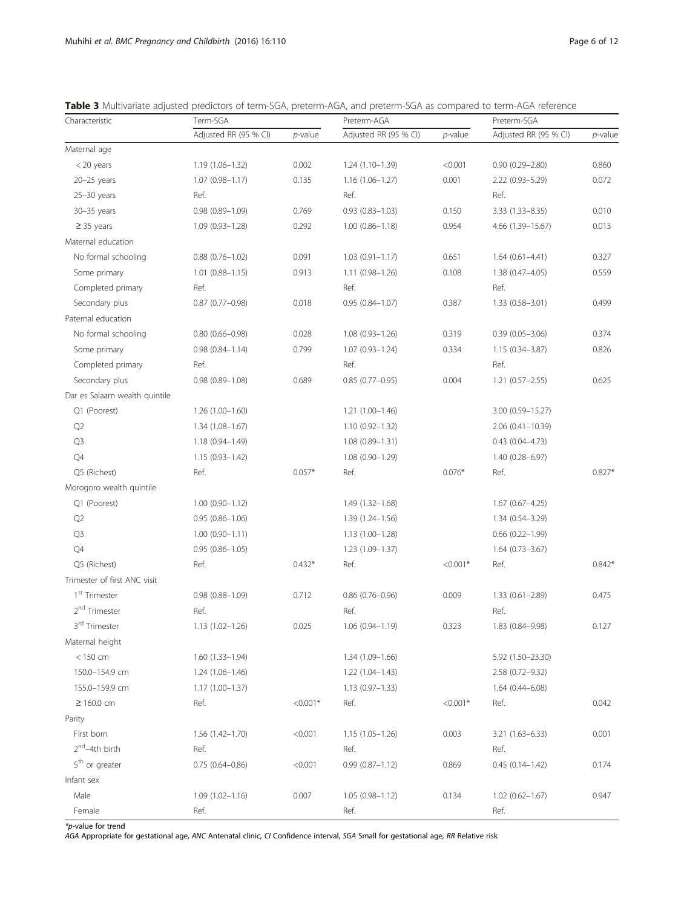<span id="page-5-0"></span>

| Characteristic                | Term-SGA               |            | Preterm-AGA            |            | Preterm-SGA            |            |
|-------------------------------|------------------------|------------|------------------------|------------|------------------------|------------|
|                               | Adjusted RR (95 % CI)  | $p$ -value | Adjusted RR (95 % CI)  | $p$ -value | Adjusted RR (95 % CI)  | $p$ -value |
| Maternal age                  |                        |            |                        |            |                        |            |
| $<$ 20 years                  | $1.19(1.06 - 1.32)$    | 0.002      | $1.24(1.10-1.39)$      | < 0.001    | $0.90(0.29 - 2.80)$    | 0.860      |
| $20 - 25$ years               | $1.07(0.98 - 1.17)$    | 0.135      | $1.16(1.06 - 1.27)$    | 0.001      | 2.22 (0.93-5.29)       | 0.072      |
| $25-30$ years                 | Ref.                   |            | Ref.                   |            | Ref.                   |            |
| $30-35$ years                 | $0.98(0.89 - 1.09)$    | 0.769      | $0.93(0.83 - 1.03)$    | 0.150      | 3.33 (1.33-8.35)       | 0.010      |
| $\geq$ 35 years               | $1.09(0.93 - 1.28)$    | 0.292      | $1.00(0.86 - 1.18)$    | 0.954      | 4.66 (1.39-15.67)      | 0.013      |
| Maternal education            |                        |            |                        |            |                        |            |
| No formal schooling           | $0.88$ $(0.76 - 1.02)$ | 0.091      | $1.03(0.91 - 1.17)$    | 0.651      | $1.64(0.61 - 4.41)$    | 0.327      |
| Some primary                  | $1.01(0.88 - 1.15)$    | 0.913      | $1.11(0.98 - 1.26)$    | 0.108      | 1.38 (0.47-4.05)       | 0.559      |
| Completed primary             | Ref.                   |            | Ref.                   |            | Ref.                   |            |
| Secondary plus                | $0.87$ (0.77-0.98)     | 0.018      | $0.95(0.84 - 1.07)$    | 0.387      | 1.33 (0.58-3.01)       | 0.499      |
| Paternal education            |                        |            |                        |            |                        |            |
| No formal schooling           | $0.80$ $(0.66 - 0.98)$ | 0.028      | $1.08(0.93 - 1.26)$    | 0.319      | $0.39(0.05 - 3.06)$    | 0.374      |
| Some primary                  | $0.98(0.84 - 1.14)$    | 0.799      | $1.07(0.93 - 1.24)$    | 0.334      | 1.15 (0.34-3.87)       | 0.826      |
| Completed primary             | Ref.                   |            | Ref.                   |            | Ref.                   |            |
| Secondary plus                | $0.98(0.89 - 1.08)$    | 0.689      | $0.85(0.77-0.95)$      | 0.004      | $1.21(0.57 - 2.55)$    | 0.625      |
| Dar es Salaam wealth quintile |                        |            |                        |            |                        |            |
| Q1 (Poorest)                  | $1.26(1.00-1.60)$      |            | $1.21(1.00-1.46)$      |            | 3.00 (0.59-15.27)      |            |
| Q2                            | $1.34(1.08-1.67)$      |            | $1.10(0.92 - 1.32)$    |            | $2.06(0.41 - 10.39)$   |            |
| Q <sub>3</sub>                | $1.18(0.94 - 1.49)$    |            | $1.08(0.89 - 1.31)$    |            | $0.43$ $(0.04 - 4.73)$ |            |
| Q4                            | $1.15(0.93 - 1.42)$    |            | $1.08(0.90 - 1.29)$    |            | 1.40 (0.28-6.97)       |            |
| Q5 (Richest)                  | Ref.                   | $0.057*$   | Ref.                   | $0.076*$   | Ref.                   | $0.827*$   |
| Morogoro wealth quintile      |                        |            |                        |            |                        |            |
| Q1 (Poorest)                  | $1.00(0.90 - 1.12)$    |            | 1.49 (1.32-1.68)       |            | $1.67(0.67 - 4.25)$    |            |
| Q2                            | $0.95(0.86 - 1.06)$    |            | 1.39 (1.24–1.56)       |            | 1.34 (0.54-3.29)       |            |
| Q <sub>3</sub>                | $1.00(0.90 - 1.11)$    |            | $1.13(1.00-1.28)$      |            | $0.66$ $(0.22 - 1.99)$ |            |
| Q4                            | $0.95(0.86 - 1.05)$    |            | $1.23(1.09-1.37)$      |            | $1.64(0.73 - 3.67)$    |            |
| Q5 (Richest)                  | Ref.                   | $0.432*$   | Ref.                   | $< 0.001*$ | Ref.                   | $0.842*$   |
| Trimester of first ANC visit  |                        |            |                        |            |                        |            |
| 1 <sup>st</sup> Trimester     | $0.98(0.88 - 1.09)$    | 0.712      | $0.86$ $(0.76 - 0.96)$ | 0.009      | $1.33(0.61 - 2.89)$    | 0.475      |
| 2 <sup>nd</sup> Trimester     | Ref.                   |            | Ref.                   |            | Ref.                   |            |
| 3 <sup>rd</sup> Trimester     | $1.13(1.02 - 1.26)$    | 0.025      | $1.06(0.94 - 1.19)$    | 0.323      | 1.83 (0.84-9.98)       | 0.127      |
| Maternal height               |                        |            |                        |            |                        |            |
| $<$ 150 cm                    | $1.60(1.33 - 1.94)$    |            | 1.34 (1.09-1.66)       |            | 5.92 (1.50-23.30)      |            |
| 150.0-154.9 cm                | $1.24(1.06 - 1.46)$    |            | $1.22(1.04 - 1.43)$    |            | 2.58 (0.72-9.32)       |            |
| 155.0-159.9 cm                | $1.17(1.00 - 1.37)$    |            | $1.13(0.97 - 1.33)$    |            | $1.64(0.44 - 6.08)$    |            |
| $≥ 160.0$ cm                  | Ref.                   | $< 0.001*$ | Ref.                   | $< 0.001*$ | Ref.                   | 0.042      |
| Parity                        |                        |            |                        |            |                        |            |
| First born                    | $1.56(1.42 - 1.70)$    | < 0.001    | $1.15(1.05 - 1.26)$    | 0.003      | 3.21 (1.63–6.33)       | 0.001      |
| $2nd - 4th$ birth             | Ref.                   |            | Ref.                   |            | Ref.                   |            |
| 5 <sup>th</sup> or greater    | $0.75(0.64 - 0.86)$    | < 0.001    | $0.99(0.87 - 1.12)$    | 0.869      | $0.45(0.14 - 1.42)$    | 0.174      |
| Infant sex                    |                        |            |                        |            |                        |            |

 $\overline{\phi}$ -value for trend

AGA Appropriate for gestational age, ANC Antenatal clinic, CI Confidence interval, SGA Small for gestational age, RR Relative risk

Female Ref. Ref. Ref.

Male 1.09 (1.02–1.16) 0.007 1.05 (0.98–1.12) 0.134 1.02 (0.62–1.67) 0.947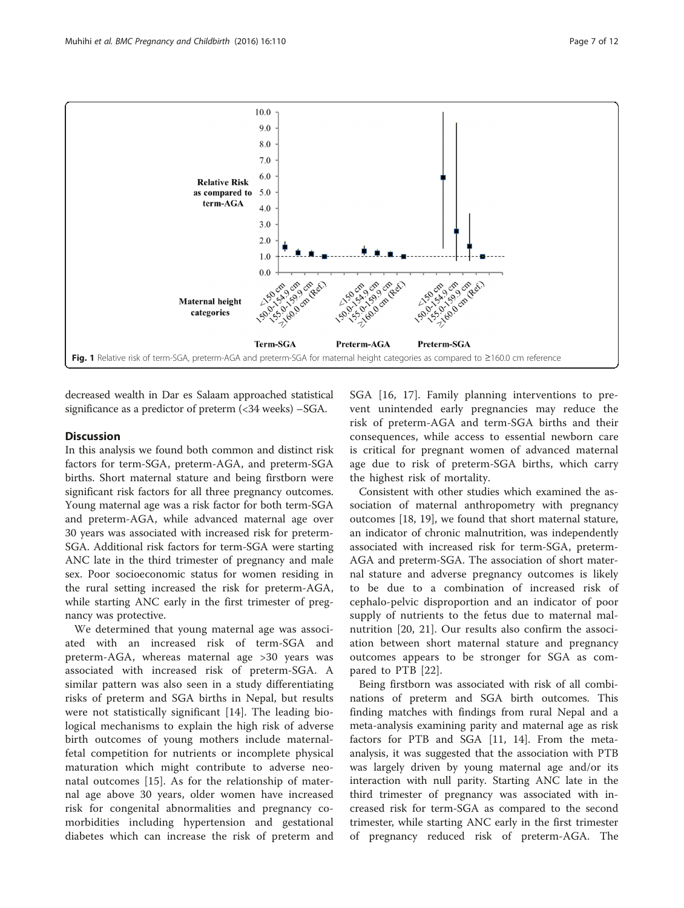<span id="page-6-0"></span>

decreased wealth in Dar es Salaam approached statistical significance as a predictor of preterm  $\left( < 34 \text{ weeks} \right)$  –SGA.

# **Discussion**

In this analysis we found both common and distinct risk factors for term-SGA, preterm-AGA, and preterm-SGA births. Short maternal stature and being firstborn were significant risk factors for all three pregnancy outcomes. Young maternal age was a risk factor for both term-SGA and preterm-AGA, while advanced maternal age over 30 years was associated with increased risk for preterm-SGA. Additional risk factors for term-SGA were starting ANC late in the third trimester of pregnancy and male sex. Poor socioeconomic status for women residing in the rural setting increased the risk for preterm-AGA, while starting ANC early in the first trimester of pregnancy was protective.

We determined that young maternal age was associated with an increased risk of term-SGA and preterm-AGA, whereas maternal age >30 years was associated with increased risk of preterm-SGA. A similar pattern was also seen in a study differentiating risks of preterm and SGA births in Nepal, but results were not statistically significant [\[14](#page-10-0)]. The leading biological mechanisms to explain the high risk of adverse birth outcomes of young mothers include maternalfetal competition for nutrients or incomplete physical maturation which might contribute to adverse neonatal outcomes [[15\]](#page-10-0). As for the relationship of maternal age above 30 years, older women have increased risk for congenital abnormalities and pregnancy comorbidities including hypertension and gestational diabetes which can increase the risk of preterm and SGA [[16, 17\]](#page-10-0). Family planning interventions to prevent unintended early pregnancies may reduce the risk of preterm-AGA and term-SGA births and their consequences, while access to essential newborn care is critical for pregnant women of advanced maternal age due to risk of preterm-SGA births, which carry the highest risk of mortality.

Consistent with other studies which examined the association of maternal anthropometry with pregnancy outcomes [[18](#page-10-0), [19\]](#page-10-0), we found that short maternal stature, an indicator of chronic malnutrition, was independently associated with increased risk for term-SGA, preterm-AGA and preterm-SGA. The association of short maternal stature and adverse pregnancy outcomes is likely to be due to a combination of increased risk of cephalo-pelvic disproportion and an indicator of poor supply of nutrients to the fetus due to maternal malnutrition [[20](#page-10-0), [21](#page-11-0)]. Our results also confirm the association between short maternal stature and pregnancy outcomes appears to be stronger for SGA as compared to PTB [[22\]](#page-11-0).

Being firstborn was associated with risk of all combinations of preterm and SGA birth outcomes. This finding matches with findings from rural Nepal and a meta-analysis examining parity and maternal age as risk factors for PTB and SGA [[11, 14\]](#page-10-0). From the metaanalysis, it was suggested that the association with PTB was largely driven by young maternal age and/or its interaction with null parity. Starting ANC late in the third trimester of pregnancy was associated with increased risk for term-SGA as compared to the second trimester, while starting ANC early in the first trimester of pregnancy reduced risk of preterm-AGA. The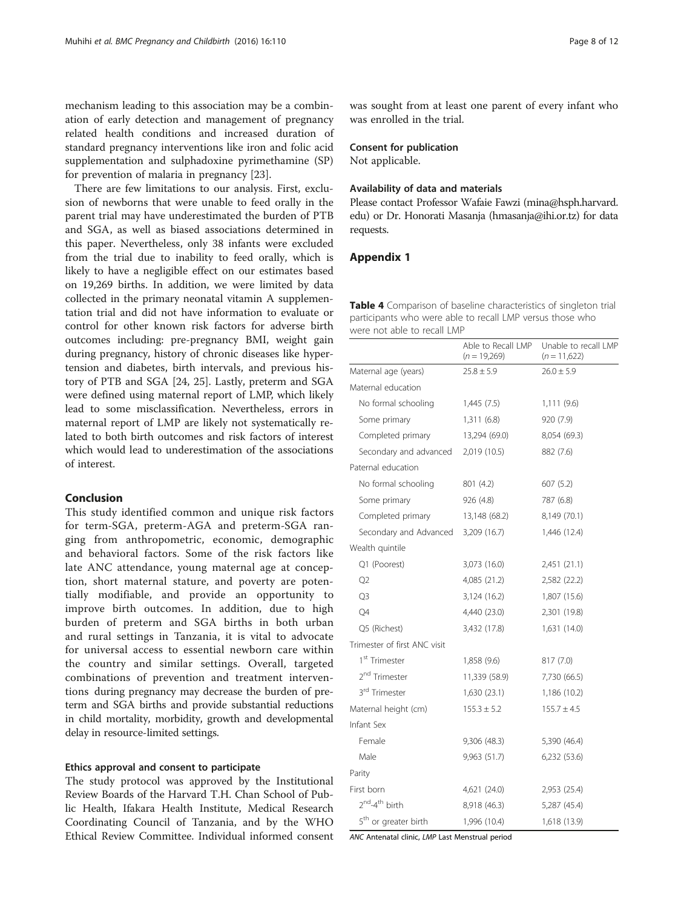<span id="page-7-0"></span>mechanism leading to this association may be a combination of early detection and management of pregnancy related health conditions and increased duration of standard pregnancy interventions like iron and folic acid supplementation and sulphadoxine pyrimethamine (SP) for prevention of malaria in pregnancy [\[23](#page-11-0)].

There are few limitations to our analysis. First, exclusion of newborns that were unable to feed orally in the parent trial may have underestimated the burden of PTB and SGA, as well as biased associations determined in this paper. Nevertheless, only 38 infants were excluded from the trial due to inability to feed orally, which is likely to have a negligible effect on our estimates based on 19,269 births. In addition, we were limited by data collected in the primary neonatal vitamin A supplementation trial and did not have information to evaluate or control for other known risk factors for adverse birth outcomes including: pre-pregnancy BMI, weight gain during pregnancy, history of chronic diseases like hypertension and diabetes, birth intervals, and previous history of PTB and SGA [\[24](#page-11-0), [25\]](#page-11-0). Lastly, preterm and SGA were defined using maternal report of LMP, which likely lead to some misclassification. Nevertheless, errors in maternal report of LMP are likely not systematically related to both birth outcomes and risk factors of interest which would lead to underestimation of the associations of interest.

# Conclusion

This study identified common and unique risk factors for term-SGA, preterm-AGA and preterm-SGA ranging from anthropometric, economic, demographic and behavioral factors. Some of the risk factors like late ANC attendance, young maternal age at conception, short maternal stature, and poverty are potentially modifiable, and provide an opportunity to improve birth outcomes. In addition, due to high burden of preterm and SGA births in both urban and rural settings in Tanzania, it is vital to advocate for universal access to essential newborn care within the country and similar settings. Overall, targeted combinations of prevention and treatment interventions during pregnancy may decrease the burden of preterm and SGA births and provide substantial reductions in child mortality, morbidity, growth and developmental delay in resource-limited settings.

# Ethics approval and consent to participate

The study protocol was approved by the Institutional Review Boards of the Harvard T.H. Chan School of Public Health, Ifakara Health Institute, Medical Research Coordinating Council of Tanzania, and by the WHO Ethical Review Committee. Individual informed consent

was sought from at least one parent of every infant who was enrolled in the trial.

## Consent for publication

Not applicable.

# Availability of data and materials

Please contact Professor Wafaie Fawzi (mina@hsph.harvard. edu) or Dr. Honorati Masanja (hmasanja@ihi.or.tz) for data requests.

# Appendix 1

| Table 4 Comparison of baseline characteristics of singleton trial |
|-------------------------------------------------------------------|
| participants who were able to recall LMP versus those who         |
| were not able to recall LMP                                       |

|                                  | Able to Recall LMP<br>$(n = 19,269)$ | Unable to recall LMP<br>$(n = 11,622)$ |
|----------------------------------|--------------------------------------|----------------------------------------|
| Maternal age (years)             | $25.8 \pm 5.9$                       | $26.0 \pm 5.9$                         |
| Maternal education               |                                      |                                        |
| No formal schooling              | 1,445(7.5)                           | 1,111(9.6)                             |
| Some primary                     | 1,311(6.8)                           | 920 (7.9)                              |
| Completed primary                | 13,294 (69.0)                        | 8,054 (69.3)                           |
| Secondary and advanced           | 2,019 (10.5)                         | 882 (7.6)                              |
| Paternal education               |                                      |                                        |
| No formal schooling              | 801 (4.2)                            | 607 (5.2)                              |
| Some primary                     | 926 (4.8)                            | 787 (6.8)                              |
| Completed primary                | 13,148 (68.2)                        | 8,149 (70.1)                           |
| Secondary and Advanced           | 3,209 (16.7)                         | 1,446 (12.4)                           |
| Wealth quintile                  |                                      |                                        |
| Q1 (Poorest)                     | 3,073 (16.0)                         | 2,451 (21.1)                           |
| Ο2                               | 4,085 (21.2)                         | 2,582 (22.2)                           |
| Q3                               | 3,124 (16.2)                         | 1,807 (15.6)                           |
| Q4                               | 4,440 (23.0)                         | 2,301 (19.8)                           |
| Q5 (Richest)                     | 3,432 (17.8)                         | 1,631 (14.0)                           |
| Trimester of first ANC visit     |                                      |                                        |
| 1 <sup>st</sup> Trimester        | 1,858 (9.6)                          | 817 (7.0)                              |
| 2 <sup>nd</sup> Trimester        | 11,339 (58.9)                        | 7,730 (66.5)                           |
| 3 <sup>rd</sup> Trimester        | 1,630(23.1)                          | 1,186 (10.2)                           |
| Maternal height (cm)             | $155.3 \pm 5.2$                      | $155.7 \pm 4.5$                        |
| Infant Sex                       |                                      |                                        |
| Female                           | 9,306 (48.3)                         | 5,390 (46.4)                           |
| Male                             | 9,963 (51.7)                         | 6,232 (53.6)                           |
| Parity                           |                                      |                                        |
| First born                       | 4,621 (24.0)                         | 2,953 (25.4)                           |
| $2^{nd}$ -4 <sup>th</sup> birth  | 8,918 (46.3)                         | 5,287 (45.4)                           |
| 5 <sup>th</sup> or greater birth | 1,996 (10.4)                         | 1,618 (13.9)                           |

ANC Antenatal clinic, LMP Last Menstrual period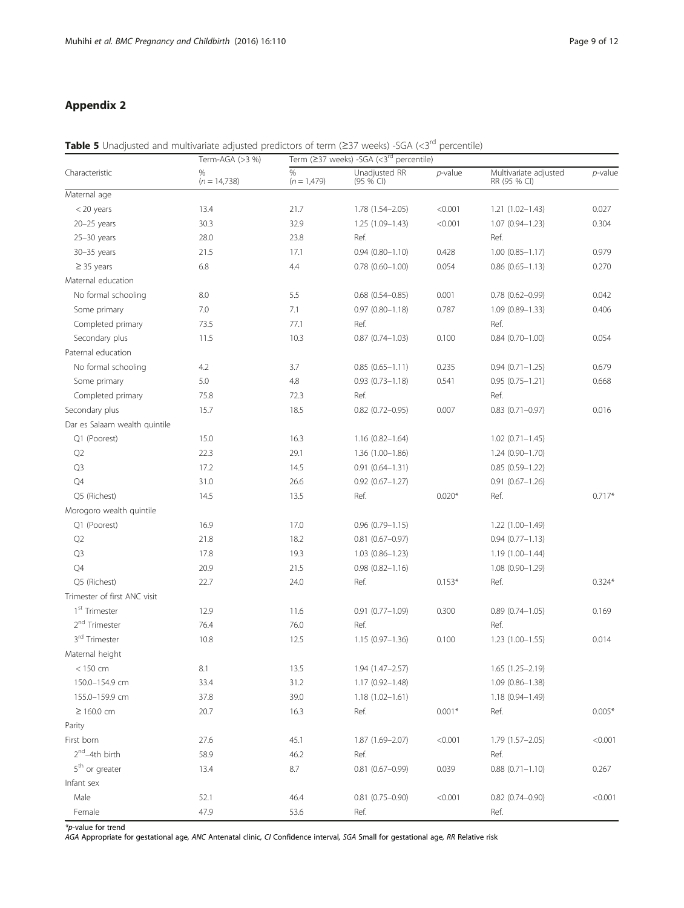# <span id="page-8-0"></span>Appendix 2

|                               | Term-AGA (>3 %)      | Term ( $\geq$ 37 weeks) -SGA (< $3^{rd}$ percentile) |                             |            |                                       |            |  |  |
|-------------------------------|----------------------|------------------------------------------------------|-----------------------------|------------|---------------------------------------|------------|--|--|
| Characteristic                | %<br>$(n = 14, 738)$ | %<br>$(n = 1,479)$                                   | Unadjusted RR<br>$(95%$ CI) | $p$ -value | Multivariate adjusted<br>RR (95 % CI) | $p$ -value |  |  |
| Maternal age                  |                      |                                                      |                             |            |                                       |            |  |  |
| $<$ 20 years                  | 13.4                 | 21.7                                                 | 1.78 (1.54-2.05)            | < 0.001    | $1.21(1.02 - 1.43)$                   | 0.027      |  |  |
| $20-25$ years                 | 30.3                 | 32.9                                                 | $1.25(1.09-1.43)$           | < 0.001    | $1.07(0.94 - 1.23)$                   | 0.304      |  |  |
| $25-30$ years                 | 28.0                 | 23.8                                                 | Ref.                        |            | Ref.                                  |            |  |  |
| $30-35$ years                 | 21.5                 | 17.1                                                 | $0.94(0.80 - 1.10)$         | 0.428      | $1.00(0.85 - 1.17)$                   | 0.979      |  |  |
| $\geq$ 35 years               | 6.8                  | 4.4                                                  | $0.78$ $(0.60 - 1.00)$      | 0.054      | $0.86$ $(0.65 - 1.13)$                | 0.270      |  |  |
| Maternal education            |                      |                                                      |                             |            |                                       |            |  |  |
| No formal schooling           | 8.0                  | 5.5                                                  | $0.68$ $(0.54 - 0.85)$      | 0.001      | $0.78$ $(0.62 - 0.99)$                | 0.042      |  |  |
| Some primary                  | $7.0\,$              | 7.1                                                  | $0.97(0.80 - 1.18)$         | 0.787      | $1.09(0.89 - 1.33)$                   | 0.406      |  |  |
| Completed primary             | 73.5                 | 77.1                                                 | Ref.                        |            | Ref.                                  |            |  |  |
| Secondary plus                | 11.5                 | 10.3                                                 | $0.87$ $(0.74 - 1.03)$      | 0.100      | $0.84(0.70 - 1.00)$                   | 0.054      |  |  |
| Paternal education            |                      |                                                      |                             |            |                                       |            |  |  |
| No formal schooling           | 4.2                  | 3.7                                                  | $0.85(0.65 - 1.11)$         | 0.235      | $0.94(0.71 - 1.25)$                   | 0.679      |  |  |
| Some primary                  | 5.0                  | 4.8                                                  | $0.93$ $(0.73 - 1.18)$      | 0.541      | $0.95(0.75 - 1.21)$                   | 0.668      |  |  |
| Completed primary             | 75.8                 | 72.3                                                 | Ref.                        |            | Ref.                                  |            |  |  |
| Secondary plus                | 15.7                 | 18.5                                                 | $0.82$ (0.72-0.95)          | 0.007      | $0.83$ $(0.71 - 0.97)$                | 0.016      |  |  |
| Dar es Salaam wealth quintile |                      |                                                      |                             |            |                                       |            |  |  |
| Q1 (Poorest)                  | 15.0                 | 16.3                                                 | $1.16(0.82 - 1.64)$         |            | $1.02(0.71 - 1.45)$                   |            |  |  |
| Q2                            | 22.3                 | 29.1                                                 | $1.36(1.00-1.86)$           |            | $1.24(0.90 - 1.70)$                   |            |  |  |
| Q3                            | 17.2                 | 14.5                                                 | $0.91$ $(0.64 - 1.31)$      |            | $0.85(0.59 - 1.22)$                   |            |  |  |
| Q4                            | 31.0                 | 26.6                                                 | $0.92(0.67 - 1.27)$         |            | $0.91(0.67 - 1.26)$                   |            |  |  |
| Q5 (Richest)                  | 14.5                 | 13.5                                                 | Ref.                        | $0.020*$   | Ref.                                  | $0.717*$   |  |  |
| Morogoro wealth quintile      |                      |                                                      |                             |            |                                       |            |  |  |
| Q1 (Poorest)                  | 16.9                 | 17.0                                                 | $0.96$ $(0.79 - 1.15)$      |            | $1.22(1.00-1.49)$                     |            |  |  |
| Q2                            | 21.8                 | 18.2                                                 | $0.81$ (0.67-0.97)          |            | $0.94(0.77 - 1.13)$                   |            |  |  |
| Q3                            | 17.8                 | 19.3                                                 | $1.03(0.86 - 1.23)$         |            | $1.19(1.00 - 1.44)$                   |            |  |  |
| Q4                            | 20.9                 | 21.5                                                 | $0.98$ $(0.82 - 1.16)$      |            | $1.08(0.90 - 1.29)$                   |            |  |  |
| Q5 (Richest)                  | 22.7                 | 24.0                                                 | Ref.                        | $0.153*$   | Ref.                                  | $0.324*$   |  |  |
| Trimester of first ANC visit  |                      |                                                      |                             |            |                                       |            |  |  |
| 1 <sup>st</sup> Trimester     | 12.9                 | 11.6                                                 | $0.91$ $(0.77 - 1.09)$      | 0.300      | $0.89(0.74 - 1.05)$                   | 0.169      |  |  |
| 2 <sup>nd</sup> Trimester     | 76.4                 | 76.0                                                 | Ref.                        |            | Ref.                                  |            |  |  |
| 3 <sup>rd</sup> Trimester     | 10.8                 | 12.5                                                 | $1.15(0.97 - 1.36)$         | 0.100      | $1.23(1.00-1.55)$                     | 0.014      |  |  |
| Maternal height               |                      |                                                      |                             |            |                                       |            |  |  |
| $<$ 150 cm                    | 8.1                  | 13.5                                                 | 1.94 (1.47-2.57)            |            | $1.65(1.25 - 2.19)$                   |            |  |  |
| 150.0-154.9 cm                | 33.4                 | 31.2                                                 | $1.17(0.92 - 1.48)$         |            | $1.09(0.86 - 1.38)$                   |            |  |  |
| 155.0-159.9 cm                | 37.8                 | 39.0                                                 | $1.18(1.02 - 1.61)$         |            | $1.18(0.94 - 1.49)$                   |            |  |  |
| $≥ 160.0$ cm                  | 20.7                 | 16.3                                                 | Ref.                        | $0.001*$   | Ref.                                  | $0.005*$   |  |  |
| Parity                        |                      |                                                      |                             |            |                                       |            |  |  |
| First born                    | 27.6                 | 45.1                                                 | 1.87 (1.69-2.07)            | < 0.001    | 1.79 (1.57-2.05)                      | < 0.001    |  |  |
| $2nd - 4th$ birth             | 58.9                 | 46.2                                                 | Ref.                        |            | Ref.                                  |            |  |  |
| 5 <sup>th</sup> or greater    | 13.4                 | 8.7                                                  | $0.81$ $(0.67 - 0.99)$      | 0.039      | $0.88$ $(0.71 - 1.10)$                | 0.267      |  |  |
| Infant sex                    |                      |                                                      |                             |            |                                       |            |  |  |
| Male                          | 52.1                 | 46.4                                                 | $0.81$ $(0.75 - 0.90)$      | < 0.001    | $0.82$ $(0.74 - 0.90)$                | < 0.001    |  |  |
| Female                        | 47.9                 | 53.6                                                 | Ref.                        |            | Ref.                                  |            |  |  |

Table 5 Unadjusted and multivariate adjusted predictors of term (≥37 weeks) -SGA (<3<sup>rd</sup> percentile)

 $\frac{1}{2}$   $\frac{1}{2}$   $\frac{1}{2}$   $\frac{1}{2}$   $\frac{1}{2}$   $\frac{1}{2}$   $\frac{1}{2}$   $\frac{1}{2}$   $\frac{1}{2}$   $\frac{1}{2}$   $\frac{1}{2}$   $\frac{1}{2}$   $\frac{1}{2}$   $\frac{1}{2}$   $\frac{1}{2}$   $\frac{1}{2}$   $\frac{1}{2}$   $\frac{1}{2}$   $\frac{1}{2}$   $\frac{1}{2}$   $\frac{1}{2}$   $\frac{1}{2}$ 

AGA Appropriate for gestational age, ANC Antenatal clinic, CI Confidence interval, SGA Small for gestational age, RR Relative risk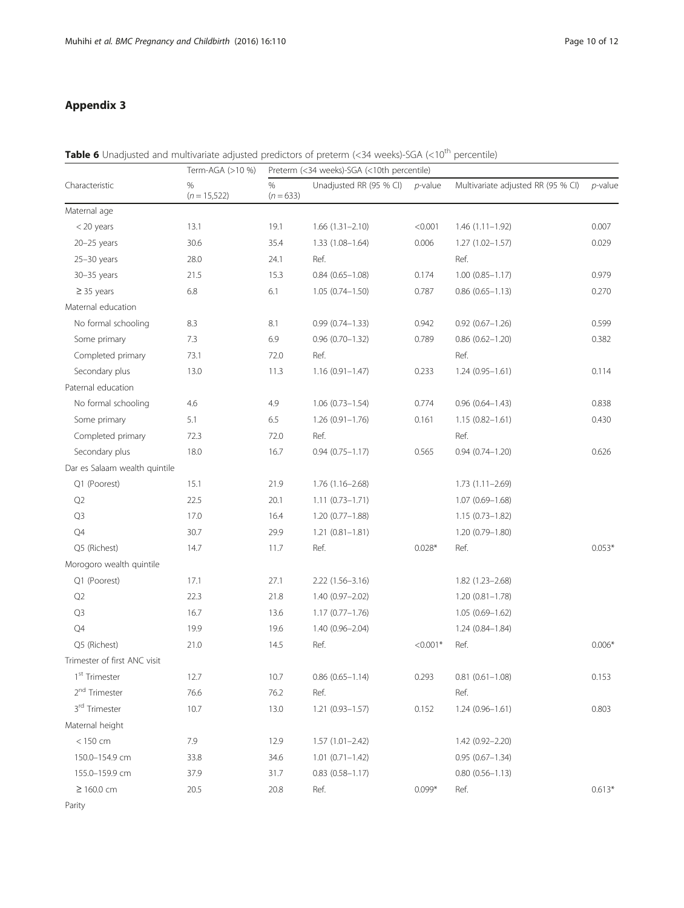# <span id="page-9-0"></span>Appendix 3

|                               | Term-AGA (>10 %)    | Preterm (<34 weeks)-SGA (<10th percentile) |                         |                 |                                    |            |  |  |  |
|-------------------------------|---------------------|--------------------------------------------|-------------------------|-----------------|------------------------------------|------------|--|--|--|
| Characteristic                | %<br>$(n = 15,522)$ | %<br>$(n = 633)$                           | Unadjusted RR (95 % CI) | <i>p</i> -value | Multivariate adjusted RR (95 % CI) | $p$ -value |  |  |  |
| Maternal age                  |                     |                                            |                         |                 |                                    |            |  |  |  |
| $<$ 20 years                  | 13.1                | 19.1                                       | $1.66(1.31 - 2.10)$     | < 0.001         | $1.46(1.11-1.92)$                  | 0.007      |  |  |  |
| $20 - 25$ years               | 30.6                | 35.4                                       | $1.33(1.08 - 1.64)$     | 0.006           | $1.27(1.02 - 1.57)$                | 0.029      |  |  |  |
| $25 - 30$ years               | 28.0                | 24.1                                       | Ref.                    |                 | Ref.                               |            |  |  |  |
| 30-35 years                   | 21.5                | 15.3                                       | $0.84(0.65 - 1.08)$     | 0.174           | $1.00(0.85 - 1.17)$                | 0.979      |  |  |  |
| $\geq$ 35 years               | 6.8                 | 6.1                                        | $1.05(0.74 - 1.50)$     | 0.787           | $0.86(0.65 - 1.13)$                | 0.270      |  |  |  |
| Maternal education            |                     |                                            |                         |                 |                                    |            |  |  |  |
| No formal schooling           | 8.3                 | 8.1                                        | $0.99(0.74 - 1.33)$     | 0.942           | $0.92$ $(0.67 - 1.26)$             | 0.599      |  |  |  |
| Some primary                  | 7.3                 | 6.9                                        | $0.96(0.70 - 1.32)$     | 0.789           | $0.86(0.62 - 1.20)$                | 0.382      |  |  |  |
| Completed primary             | 73.1                | 72.0                                       | Ref.                    |                 | Ref.                               |            |  |  |  |
| Secondary plus                | 13.0                | 11.3                                       | $1.16(0.91 - 1.47)$     | 0.233           | $1.24(0.95 - 1.61)$                | 0.114      |  |  |  |
| Paternal education            |                     |                                            |                         |                 |                                    |            |  |  |  |
| No formal schooling           | 4.6                 | 4.9                                        | $1.06(0.73 - 1.54)$     | 0.774           | $0.96(0.64 - 1.43)$                | 0.838      |  |  |  |
| Some primary                  | 5.1                 | 6.5                                        | $1.26(0.91 - 1.76)$     | 0.161           | $1.15(0.82 - 1.61)$                | 0.430      |  |  |  |
| Completed primary             | 72.3                | 72.0                                       | Ref.                    |                 | Ref.                               |            |  |  |  |
| Secondary plus                | 18.0                | 16.7                                       | $0.94(0.75 - 1.17)$     | 0.565           | $0.94(0.74 - 1.20)$                | 0.626      |  |  |  |
| Dar es Salaam wealth quintile |                     |                                            |                         |                 |                                    |            |  |  |  |
| Q1 (Poorest)                  | 15.1                | 21.9                                       | 1.76 (1.16-2.68)        |                 | $1.73(1.11 - 2.69)$                |            |  |  |  |
| Q2                            | 22.5                | 20.1                                       | $1.11(0.73 - 1.71)$     |                 | $1.07(0.69 - 1.68)$                |            |  |  |  |
| Q3                            | 17.0                | 16.4                                       | $1.20(0.77 - 1.88)$     |                 | $1.15(0.73 - 1.82)$                |            |  |  |  |
| ${\mathbb Q}4$                | 30.7                | 29.9                                       | $1.21(0.81 - 1.81)$     |                 | 1.20 (0.79-1.80)                   |            |  |  |  |
| Q5 (Richest)                  | 14.7                | 11.7                                       | Ref.                    | $0.028*$        | Ref.                               | $0.053*$   |  |  |  |
| Morogoro wealth quintile      |                     |                                            |                         |                 |                                    |            |  |  |  |
| Q1 (Poorest)                  | 17.1                | 27.1                                       | $2.22(1.56 - 3.16)$     |                 | $1.82(1.23 - 2.68)$                |            |  |  |  |
| Q2                            | 22.3                | 21.8                                       | $1.40(0.97 - 2.02)$     |                 | $1.20(0.81 - 1.78)$                |            |  |  |  |
| Q <sub>3</sub>                | 16.7                | 13.6                                       | $1.17(0.77 - 1.76)$     |                 | $1.05(0.69 - 1.62)$                |            |  |  |  |
| Q4                            | 19.9                | 19.6                                       | 1.40 (0.96-2.04)        |                 | $1.24(0.84 - 1.84)$                |            |  |  |  |
| Q5 (Richest)                  | 21.0                | 14.5                                       | Ref.                    | $< 0.001*$      | Ref.                               | $0.006*$   |  |  |  |
| Trimester of first ANC visit  |                     |                                            |                         |                 |                                    |            |  |  |  |
| $1^\text{st}$ Trimester       | 12.7                | 10.7                                       | $0.86$ $(0.65 - 1.14)$  | 0.293           | $0.81(0.61 - 1.08)$                | 0.153      |  |  |  |
| 2 <sup>nd</sup> Trimester     | 76.6                | 76.2                                       | Ref.                    |                 | Ref.                               |            |  |  |  |
| 3rd Trimester                 | 10.7                | 13.0                                       | $1.21(0.93 - 1.57)$     | 0.152           | $1.24(0.96 - 1.61)$                | 0.803      |  |  |  |
| Maternal height               |                     |                                            |                         |                 |                                    |            |  |  |  |
| $< 150$ cm                    | 7.9                 | 12.9                                       | $1.57(1.01 - 2.42)$     |                 | 1.42 (0.92-2.20)                   |            |  |  |  |
| 150.0-154.9 cm                | 33.8                | 34.6                                       | $1.01(0.71 - 1.42)$     |                 | $0.95(0.67 - 1.34)$                |            |  |  |  |
| 155.0-159.9 cm                | 37.9                | 31.7                                       | $0.83$ $(0.58 - 1.17)$  |                 | $0.80(0.56 - 1.13)$                |            |  |  |  |
| $\geq$ 160.0 cm               | 20.5                | 20.8                                       | Ref.                    | $0.099*$        | Ref.                               | $0.613*$   |  |  |  |
| Parity                        |                     |                                            |                         |                 |                                    |            |  |  |  |

| <b>Table 6</b> Unadjusted and multivariate adjusted predictors of preterm (<34 weeks)-SGA (<10 <sup>th</sup> percentile) |  |
|--------------------------------------------------------------------------------------------------------------------------|--|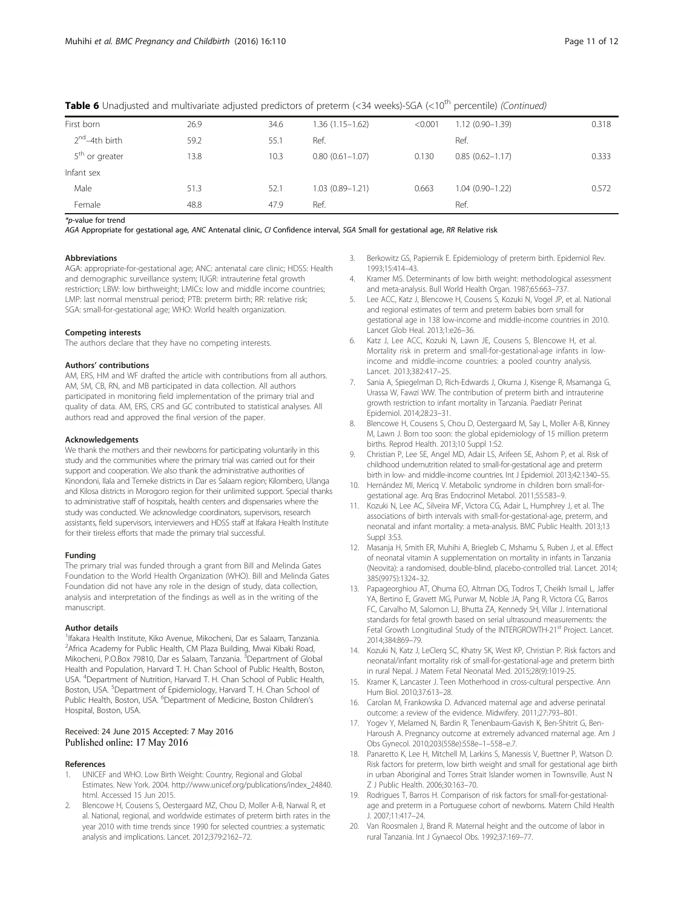| First born                 | 26.9 | 34.6 | $1.36(1.15 - 1.62)$ | < 0.001 | $1.12(0.90 - 1.39)$ | 0.318 |
|----------------------------|------|------|---------------------|---------|---------------------|-------|
| $2nd - 4th$ birth          | 59.2 | 55.1 | Ref.                |         | Ref.                |       |
| 5 <sup>th</sup> or greater | 13.8 | 10.3 | $0.80(0.61 - 1.07)$ | 0.130   | $0.85(0.62 - 1.17)$ | 0.333 |
| Infant sex                 |      |      |                     |         |                     |       |
| Male                       | 51.3 | 52.1 | $1.03(0.89 - 1.21)$ | 0.663   | $1.04(0.90 - 1.22)$ | 0.572 |
| Female                     | 48.8 | 47.9 | Ref.                |         | Ref.                |       |

<span id="page-10-0"></span>Table 6 Unadjusted and multivariate adjusted predictors of preterm (<34 weeks)-SGA (<10<sup>th</sup> percentile) *(Continued)* 

\*p-value for trend

AGA Appropriate for gestational age, ANC Antenatal clinic, CI Confidence interval, SGA Small for gestational age, RR Relative risk

#### Abbreviations

AGA: appropriate-for-gestational age; ANC: antenatal care clinic; HDSS: Health and demographic surveillance system; IUGR: intrauterine fetal growth restriction; LBW: low birthweight; LMICs: low and middle income countries; LMP: last normal menstrual period; PTB: preterm birth; RR: relative risk; SGA: small-for-gestational age; WHO: World health organization.

#### Competing interests

The authors declare that they have no competing interests.

#### Authors' contributions

AM, ERS, HM and WF drafted the article with contributions from all authors. AM, SM, CB, RN, and MB participated in data collection. All authors participated in monitoring field implementation of the primary trial and quality of data. AM, ERS, CRS and GC contributed to statistical analyses. All authors read and approved the final version of the paper.

#### Acknowledgements

We thank the mothers and their newborns for participating voluntarily in this study and the communities where the primary trial was carried out for their support and cooperation. We also thank the administrative authorities of Kinondoni, Ilala and Temeke districts in Dar es Salaam region; Kilombero, Ulanga and Kilosa districts in Morogoro region for their unlimited support. Special thanks to administrative staff of hospitals, health centers and dispensaries where the study was conducted. We acknowledge coordinators, supervisors, research assistants, field supervisors, interviewers and HDSS staff at Ifakara Health Institute for their tireless efforts that made the primary trial successful.

#### Funding

The primary trial was funded through a grant from Bill and Melinda Gates Foundation to the World Health Organization (WHO). Bill and Melinda Gates Foundation did not have any role in the design of study, data collection, analysis and interpretation of the findings as well as in the writing of the manuscript.

#### Author details

<sup>1</sup> Ifakara Health Institute, Kiko Avenue, Mikocheni, Dar es Salaam, Tanzania. <sup>2</sup>Africa Academy for Public Health, CM Plaza Building, Mwai Kibaki Road, Mikocheni, P.O.Box 79810, Dar es Salaam, Tanzania. <sup>3</sup>Department of Global Health and Population, Harvard T. H. Chan School of Public Health, Boston, USA. <sup>4</sup>Department of Nutrition, Harvard T. H. Chan School of Public Health, Boston, USA. <sup>5</sup>Department of Epidemiology, Harvard T. H. Chan School of Public Health, Boston, USA. <sup>6</sup>Department of Medicine, Boston Children's Hospital, Boston, USA.

### Received: 24 June 2015 Accepted: 7 May 2016 Published online: 17 May 2016

#### References

- 1. UNICEF and WHO. Low Birth Weight: Country, Regional and Global Estimates. New York. 2004. [http://www.unicef.org/publications/index\\_24840.](http://www.unicef.org/publications/index_24840.html) [html.](http://www.unicef.org/publications/index_24840.html) Accessed 15 Jun 2015.
- 2. Blencowe H, Cousens S, Oestergaard MZ, Chou D, Moller A-B, Narwal R, et al. National, regional, and worldwide estimates of preterm birth rates in the year 2010 with time trends since 1990 for selected countries: a systematic analysis and implications. Lancet. 2012;379:2162–72.
- 3. Berkowitz GS, Papiernik E. Epidemiology of preterm birth. Epidemiol Rev. 1993;15:414–43.
- 4. Kramer MS. Determinants of low birth weight: methodological assessment and meta-analysis. Bull World Health Organ. 1987;65:663–737.
- 5. Lee ACC, Katz J, Blencowe H, Cousens S, Kozuki N, Vogel JP, et al. National and regional estimates of term and preterm babies born small for gestational age in 138 low-income and middle-income countries in 2010. Lancet Glob Heal. 2013;1:e26–36.
- 6. Katz J, Lee ACC, Kozuki N, Lawn JE, Cousens S, Blencowe H, et al. Mortality risk in preterm and small-for-gestational-age infants in lowincome and middle-income countries: a pooled country analysis. Lancet. 2013;382:417–25.
- 7. Sania A, Spiegelman D, Rich-Edwards J, Okuma J, Kisenge R, Msamanga G, Urassa W, Fawzi WW. The contribution of preterm birth and intrauterine growth restriction to infant mortality in Tanzania. Paediatr Perinat Epidemiol. 2014;28:23–31.
- 8. Blencowe H, Cousens S, Chou D, Oestergaard M, Say L, Moller A-B, Kinney M, Lawn J. Born too soon: the global epidemiology of 15 million preterm births. Reprod Health. 2013;10 Suppl 1:S2.
- 9. Christian P, Lee SE, Angel MD, Adair LS, Arifeen SE, Ashorn P, et al. Risk of childhood undernutrition related to small-for-gestational age and preterm birth in low- and middle-income countries. Int J Epidemiol. 2013;42:1340–55.
- 10. Hernández MI, Mericq V. Metabolic syndrome in children born small-forgestational age. Arq Bras Endocrinol Metabol. 2011;55:583–9.
- 11. Kozuki N, Lee AC, Silveira MF, Victora CG, Adair L, Humphrey J, et al. The associations of birth intervals with small-for-gestational-age, preterm, and neonatal and infant mortality: a meta-analysis. BMC Public Health. 2013;13 Suppl 3:S3.
- 12. Masanja H, Smith ER, Muhihi A, Briegleb C, Mshamu S, Ruben J, et al. Effect of neonatal vitamin A supplementation on mortality in infants in Tanzania (Neovita): a randomised, double-blind, placebo-controlled trial. Lancet. 2014; 385(9975):1324–32.
- 13. Papageorghiou AT, Ohuma EO, Altman DG, Todros T, Cheikh Ismail L, Jaffer YA, Bertino E, Gravett MG, Purwar M, Noble JA, Pang R, Victora CG, Barros FC, Carvalho M, Salomon LJ, Bhutta ZA, Kennedy SH, Villar J. International standards for fetal growth based on serial ultrasound measurements: the Fetal Growth Longitudinal Study of the INTERGROWTH-21<sup>st</sup> Project. Lancet. 2014;384:869–79.
- 14. Kozuki N, Katz J, LeClerq SC, Khatry SK, West KP, Christian P. Risk factors and neonatal/infant mortality risk of small-for-gestational-age and preterm birth in rural Nepal. J Matern Fetal Neonatal Med. 2015;28(9):1019-25.
- 15. Kramer K, Lancaster J. Teen Motherhood in cross-cultural perspective. Ann Hum Biol. 2010;37:613–28.
- 16. Carolan M, Frankowska D. Advanced maternal age and adverse perinatal outcome: a review of the evidence. Midwifery. 2011;27:793–801.
- 17. Yogev Y, Melamed N, Bardin R, Tenenbaum-Gavish K, Ben-Shitrit G, Ben-Haroush A. Pregnancy outcome at extremely advanced maternal age. Am J Obs Gynecol. 2010;203(558e):558e–1–558–e.7.
- 18. Panaretto K, Lee H, Mitchell M, Larkins S, Manessis V, Buettner P, Watson D. Risk factors for preterm, low birth weight and small for gestational age birth in urban Aboriginal and Torres Strait Islander women in Townsville. Aust N Z J Public Health. 2006;30:163–70.
- 19. Rodrigues T, Barros H. Comparison of risk factors for small-for-gestationalage and preterm in a Portuguese cohort of newborns. Matern Child Health J. 2007;11:417–24.
- 20. Van Roosmalen J, Brand R. Maternal height and the outcome of labor in rural Tanzania. Int J Gynaecol Obs. 1992;37:169–77.